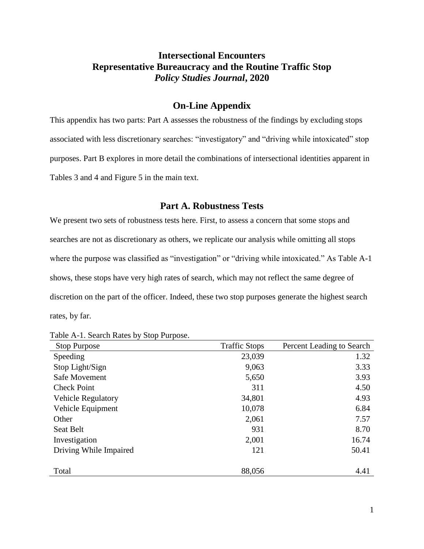## **Intersectional Encounters Representative Bureaucracy and the Routine Traffic Stop** *Policy Studies Journal***, 2020**

### **On-Line Appendix**

This appendix has two parts: Part A assesses the robustness of the findings by excluding stops associated with less discretionary searches: "investigatory" and "driving while intoxicated" stop purposes. Part B explores in more detail the combinations of intersectional identities apparent in Tables 3 and 4 and Figure 5 in the main text.

#### **Part A. Robustness Tests**

We present two sets of robustness tests here. First, to assess a concern that some stops and searches are not as discretionary as others, we replicate our analysis while omitting all stops where the purpose was classified as "investigation" or "driving while intoxicated." As Table A-1 shows, these stops have very high rates of search, which may not reflect the same degree of discretion on the part of the officer. Indeed, these two stop purposes generate the highest search rates, by far.

Table A-1. Search Rates by Stop Purpose.

| <b>Stop Purpose</b>       | <b>Traffic Stops</b> | Percent Leading to Search |
|---------------------------|----------------------|---------------------------|
| Speeding                  | 23,039               | 1.32                      |
| Stop Light/Sign           | 9,063                | 3.33                      |
| Safe Movement             | 5,650                | 3.93                      |
| <b>Check Point</b>        | 311                  | 4.50                      |
| <b>Vehicle Regulatory</b> | 34,801               | 4.93                      |
| Vehicle Equipment         | 10,078               | 6.84                      |
| Other                     | 2,061                | 7.57                      |
| Seat Belt                 | 931                  | 8.70                      |
| Investigation             | 2,001                | 16.74                     |
| Driving While Impaired    | 121                  | 50.41                     |
|                           |                      |                           |
| Total                     | 88,056               | 4.41                      |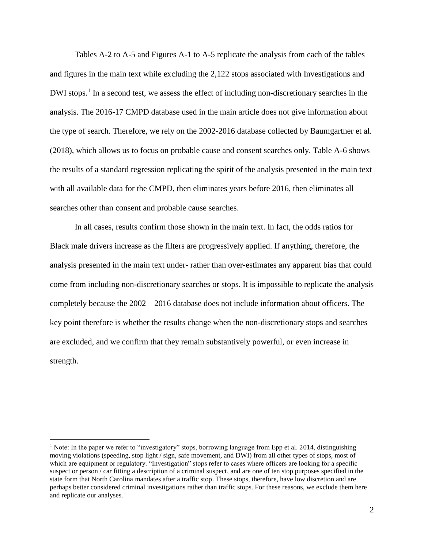Tables A-2 to A-5 and Figures A-1 to A-5 replicate the analysis from each of the tables and figures in the main text while excluding the 2,122 stops associated with Investigations and DWI stops.<sup>1</sup> In a second test, we assess the effect of including non-discretionary searches in the analysis. The 2016-17 CMPD database used in the main article does not give information about the type of search. Therefore, we rely on the 2002-2016 database collected by Baumgartner et al. (2018), which allows us to focus on probable cause and consent searches only. Table A-6 shows the results of a standard regression replicating the spirit of the analysis presented in the main text with all available data for the CMPD, then eliminates years before 2016, then eliminates all searches other than consent and probable cause searches.

In all cases, results confirm those shown in the main text. In fact, the odds ratios for Black male drivers increase as the filters are progressively applied. If anything, therefore, the analysis presented in the main text under- rather than over-estimates any apparent bias that could come from including non-discretionary searches or stops. It is impossible to replicate the analysis completely because the 2002—2016 database does not include information about officers. The key point therefore is whether the results change when the non-discretionary stops and searches are excluded, and we confirm that they remain substantively powerful, or even increase in strength.

 $\overline{a}$ 

<sup>&</sup>lt;sup>1</sup> Note: In the paper we refer to "investigatory" stops, borrowing language from Epp et al. 2014, distinguishing moving violations (speeding, stop light / sign, safe movement, and DWI) from all other types of stops, most of which are equipment or regulatory. "Investigation" stops refer to cases where officers are looking for a specific suspect or person / car fitting a description of a criminal suspect, and are one of ten stop purposes specified in the state form that North Carolina mandates after a traffic stop. These stops, therefore, have low discretion and are perhaps better considered criminal investigations rather than traffic stops. For these reasons, we exclude them here and replicate our analyses.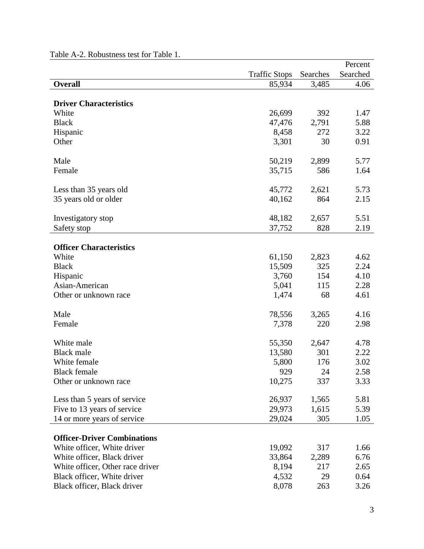|                                    |                      |          | Percent  |
|------------------------------------|----------------------|----------|----------|
|                                    | <b>Traffic Stops</b> | Searches | Searched |
| Overall                            | 85,934               | 3,485    | 4.06     |
|                                    |                      |          |          |
| <b>Driver Characteristics</b>      |                      |          |          |
| White                              | 26,699               | 392      | 1.47     |
| <b>Black</b>                       | 47,476               | 2,791    | 5.88     |
| Hispanic                           | 8,458                | 272      | 3.22     |
| Other                              | 3,301                | 30       | 0.91     |
| Male                               | 50,219               | 2,899    | 5.77     |
| Female                             | 35,715               | 586      | 1.64     |
|                                    |                      |          |          |
| Less than 35 years old             | 45,772               | 2,621    | 5.73     |
| 35 years old or older              | 40,162               | 864      | 2.15     |
|                                    |                      |          |          |
| Investigatory stop                 | 48,182               | 2,657    | 5.51     |
| Safety stop                        | 37,752               | 828      | 2.19     |
|                                    |                      |          |          |
| <b>Officer Characteristics</b>     |                      |          |          |
| White                              | 61,150               | 2,823    | 4.62     |
| <b>Black</b>                       | 15,509               | 325      | 2.24     |
| Hispanic                           | 3,760                | 154      | 4.10     |
| Asian-American                     | 5,041                | 115      | 2.28     |
| Other or unknown race              | 1,474                | 68       | 4.61     |
| Male                               | 78,556               | 3,265    | 4.16     |
| Female                             | 7,378                | 220      | 2.98     |
|                                    |                      |          |          |
| White male                         | 55,350               | 2,647    | 4.78     |
| <b>Black male</b>                  | 13,580               | 301      | 2.22     |
| White female                       | 5,800                | 176      | 3.02     |
| <b>Black female</b>                | 929                  | 24       | 2.58     |
| Other or unknown race              | 10,275               | 337      | 3.33     |
| Less than 5 years of service       | 26,937               | 1,565    | 5.81     |
| Five to 13 years of service        | 29,973               | 1,615    | 5.39     |
| 14 or more years of service        | 29,024               | 305      | 1.05     |
|                                    |                      |          |          |
| <b>Officer-Driver Combinations</b> |                      |          |          |
| White officer, White driver        | 19,092               | 317      | 1.66     |
| White officer, Black driver        | 33,864               | 2,289    | 6.76     |
| White officer, Other race driver   | 8,194                | 217      | 2.65     |
| Black officer, White driver        | 4,532                | 29       | 0.64     |
| Black officer, Black driver        | 8,078                | 263      | 3.26     |

#### Table A-2. Robustness test for Table 1.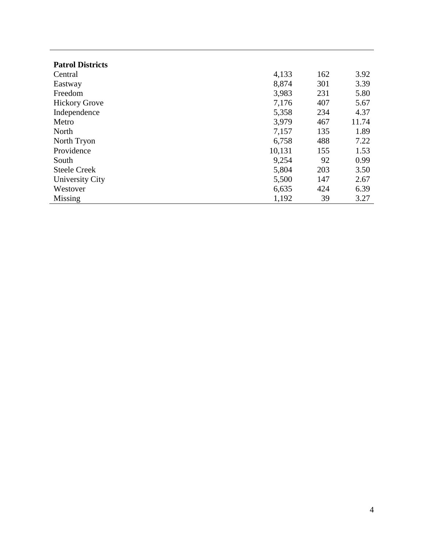| <b>Patrol Districts</b> |        |     |       |
|-------------------------|--------|-----|-------|
| Central                 | 4,133  | 162 | 3.92  |
| Eastway                 | 8,874  | 301 | 3.39  |
| Freedom                 | 3,983  | 231 | 5.80  |
| <b>Hickory Grove</b>    | 7,176  | 407 | 5.67  |
| Independence            | 5,358  | 234 | 4.37  |
| Metro                   | 3,979  | 467 | 11.74 |
| North                   | 7,157  | 135 | 1.89  |
| North Tryon             | 6,758  | 488 | 7.22  |
| Providence              | 10,131 | 155 | 1.53  |
| South                   | 9,254  | 92  | 0.99  |
| <b>Steele Creek</b>     | 5,804  | 203 | 3.50  |
| University City         | 5,500  | 147 | 2.67  |
| Westover                | 6,635  | 424 | 6.39  |
| Missing                 | 1,192  | 39  | 3.27  |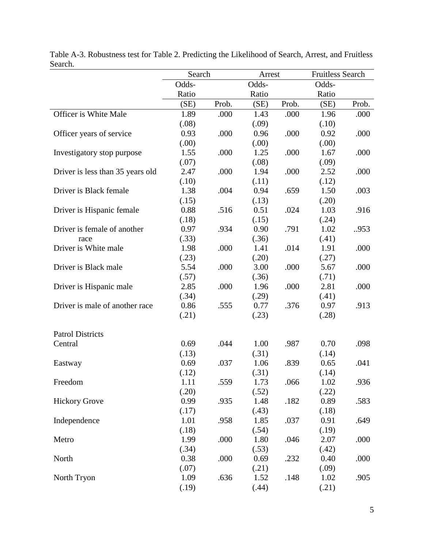|                                  | Search |       | Arrest | <b>Fruitless Search</b> |       |       |
|----------------------------------|--------|-------|--------|-------------------------|-------|-------|
|                                  | Odds-  |       | Odds-  |                         | Odds- |       |
|                                  | Ratio  |       | Ratio  |                         | Ratio |       |
|                                  | (SE)   | Prob. | (SE)   | Prob.                   | (SE)  | Prob. |
| Officer is White Male            | 1.89   | .000  | 1.43   | .000                    | 1.96  | .000  |
|                                  | (.08)  |       | (.09)  |                         | (.10) |       |
| Officer years of service         | 0.93   | .000  | 0.96   | .000                    | 0.92  | .000  |
|                                  | (.00)  |       | (.00)  |                         | (.00) |       |
| Investigatory stop purpose       | 1.55   | .000  | 1.25   | .000                    | 1.67  | .000  |
|                                  | (.07)  |       | (.08)  |                         | (.09) |       |
| Driver is less than 35 years old | 2.47   | .000  | 1.94   | .000                    | 2.52  | .000  |
|                                  | (.10)  |       | (.11)  |                         | (.12) |       |
| Driver is Black female           | 1.38   | .004  | 0.94   | .659                    | 1.50  | .003  |
|                                  | (.15)  |       | (.13)  |                         | (.20) |       |
| Driver is Hispanic female        | 0.88   | .516  | 0.51   | .024                    | 1.03  | .916  |
|                                  | (.18)  |       | (.15)  |                         | (.24) |       |
| Driver is female of another      | 0.97   | .934  | 0.90   | .791                    | 1.02  | 953   |
| race                             | (.33)  |       | (.36)  |                         | (.41) |       |
| Driver is White male             | 1.98   | .000  | 1.41   | .014                    | 1.91  | .000  |
|                                  | (.23)  |       | (.20)  |                         | (.27) |       |
| Driver is Black male             | 5.54   | .000  | 3.00   | .000                    | 5.67  | .000  |
|                                  | (.57)  |       | (.36)  |                         | (.71) |       |
| Driver is Hispanic male          | 2.85   | .000  | 1.96   | .000                    | 2.81  | .000  |
|                                  | (.34)  |       | (.29)  |                         | (.41) |       |
| Driver is male of another race   | 0.86   | .555  | 0.77   | .376                    | 0.97  | .913  |
|                                  | (.21)  |       | (.23)  |                         | (.28) |       |
|                                  |        |       |        |                         |       |       |
| <b>Patrol Districts</b>          |        |       |        |                         |       |       |
| Central                          | 0.69   | .044  | 1.00   | .987                    | 0.70  | .098  |
|                                  | (.13)  |       | (.31)  |                         | (.14) |       |
| Eastway                          | 0.69   | .037  | 1.06   | .839                    | 0.65  | .041  |
|                                  | (.12)  |       | (.31)  |                         | (.14) |       |
| Freedom                          | 1.11   | .559  | 1.73   | .066                    | 1.02  | .936  |
|                                  | (.20)  |       | (.52)  |                         | (.22) |       |
| <b>Hickory Grove</b>             | 0.99   | .935  | 1.48   | .182                    | 0.89  | .583  |
|                                  | (.17)  |       | (.43)  |                         | (.18) |       |
| Independence                     | 1.01   | .958  | 1.85   | .037                    | 0.91  | .649  |
|                                  | (.18)  |       | (.54)  |                         | (.19) |       |
| Metro                            | 1.99   | .000  | 1.80   | .046                    | 2.07  | .000  |
|                                  | (.34)  |       | (.53)  |                         | (.42) |       |
| North                            | 0.38   | .000  | 0.69   | .232                    | 0.40  | .000  |
|                                  | (.07)  |       | (.21)  |                         | (.09) |       |
| North Tryon                      | 1.09   | .636  | 1.52   | .148                    | 1.02  | .905  |
|                                  | (.19)  |       | (.44)  |                         | (.21) |       |

Table A-3. Robustness test for Table 2. Predicting the Likelihood of Search, Arrest, and Fruitless Search.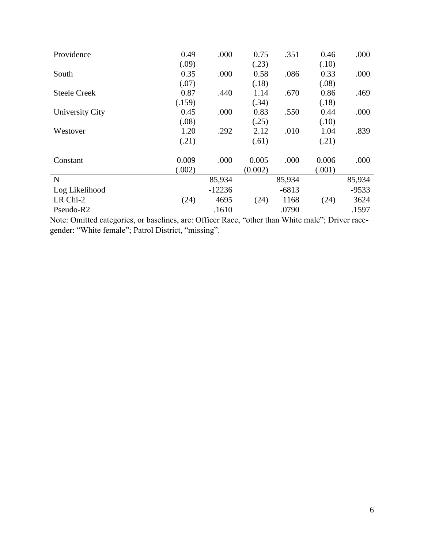| Providence            | 0.49   | .000     | 0.75    | .351    | 0.46   | .000    |
|-----------------------|--------|----------|---------|---------|--------|---------|
|                       | (.09)  |          | (.23)   |         | (.10)  |         |
| South                 | 0.35   | .000     | 0.58    | .086    | 0.33   | .000    |
|                       | (.07)  |          | (.18)   |         | (.08)  |         |
| <b>Steele Creek</b>   | 0.87   | .440     | 1.14    | .670    | 0.86   | .469    |
|                       | (.159) |          | (.34)   |         | (.18)  |         |
| University City       | 0.45   | .000     | 0.83    | .550    | 0.44   | .000    |
|                       | (.08)  |          | (.25)   |         | (.10)  |         |
| Westover              | 1.20   | .292     | 2.12    | .010    | 1.04   | .839    |
|                       | (.21)  |          | (.61)   |         | (.21)  |         |
| Constant              | 0.009  | .000     | 0.005   | .000    | 0.006  | .000    |
|                       | (.002) |          | (0.002) |         | (.001) |         |
| N                     |        | 85,934   |         | 85,934  |        | 85,934  |
| Log Likelihood        |        | $-12236$ |         | $-6813$ |        | $-9533$ |
| LR Chi-2              | (24)   | 4695     | (24)    | 1168    | (24)   | 3624    |
| Pseudo-R <sub>2</sub> |        | .1610    |         | .0790   |        | .1597   |

Note: Omitted categories, or baselines, are: Officer Race, "other than White male"; Driver racegender: "White female"; Patrol District, "missing".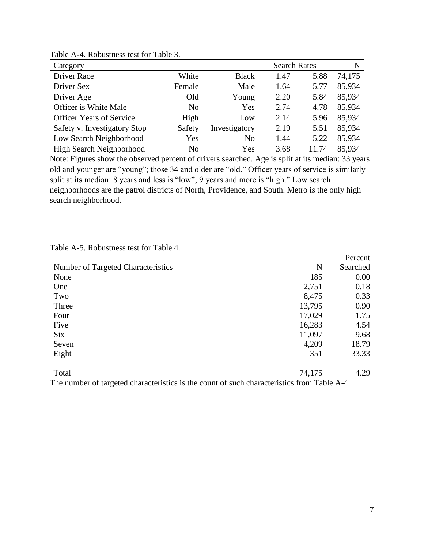| Category                        |                |                | <b>Search Rates</b> |       | N      |
|---------------------------------|----------------|----------------|---------------------|-------|--------|
| Driver Race                     | White          | <b>Black</b>   | 1.47                | 5.88  | 74,175 |
| Driver Sex                      | Female         | Male           | 1.64                | 5.77  | 85,934 |
| Driver Age                      | Old            | Young          | 2.20                | 5.84  | 85,934 |
| Officer is White Male           | N <sub>o</sub> | Yes            | 2.74                | 4.78  | 85,934 |
| <b>Officer Years of Service</b> | High           | Low            | 2.14                | 5.96  | 85,934 |
| Safety v. Investigatory Stop    | Safety         | Investigatory  | 2.19                | 5.51  | 85,934 |
| Low Search Neighborhood         | Yes            | N <sub>0</sub> | 1.44                | 5.22  | 85,934 |
| High Search Neighborhood        | N <sub>0</sub> | Yes            | 3.68                | 11.74 | 85,934 |

Table A-4. Robustness test for Table 3.

Note: Figures show the observed percent of drivers searched. Age is split at its median: 33 years old and younger are "young"; those 34 and older are "old." Officer years of service is similarly split at its median: 8 years and less is "low"; 9 years and more is "high." Low search neighborhoods are the patrol districts of North, Providence, and South. Metro is the only high search neighborhood.

|                                                                                                                                                                                                                                                         |                                                  | T ALCOHE |
|---------------------------------------------------------------------------------------------------------------------------------------------------------------------------------------------------------------------------------------------------------|--------------------------------------------------|----------|
| Number of Targeted Characteristics                                                                                                                                                                                                                      | N                                                | Searched |
| None                                                                                                                                                                                                                                                    | 185                                              | 0.00     |
| One                                                                                                                                                                                                                                                     | 2,751                                            | 0.18     |
| Two                                                                                                                                                                                                                                                     | 8,475                                            | 0.33     |
| Three                                                                                                                                                                                                                                                   | 13,795                                           | 0.90     |
| Four                                                                                                                                                                                                                                                    | 17,029                                           | 1.75     |
| Five                                                                                                                                                                                                                                                    | 16,283                                           | 4.54     |
| <b>Six</b>                                                                                                                                                                                                                                              | 11,097                                           | 9.68     |
| Seven                                                                                                                                                                                                                                                   | 4,209                                            | 18.79    |
| Eight                                                                                                                                                                                                                                                   | 351                                              | 33.33    |
|                                                                                                                                                                                                                                                         |                                                  |          |
| Total<br><b>State Controllers</b><br>$\bullet$ $\bullet$<br><b>CONTINUES</b><br>$\sim$<br>.<br>$\sim$ $\sim$<br>$\mathbf{1}$ $\mathbf{1}$<br>$\blacksquare$<br><b>Contract Contract Contract Contract</b><br><b>Contract Contract Contract Contract</b> | 74,175<br>$\sim$<br>$\mathbf{m}$ 11 $\mathbf{1}$ | 4.29     |

Table A-5. Robustness test for Table 4.

The number of targeted characteristics is the count of such characteristics from Table A-4.

Percent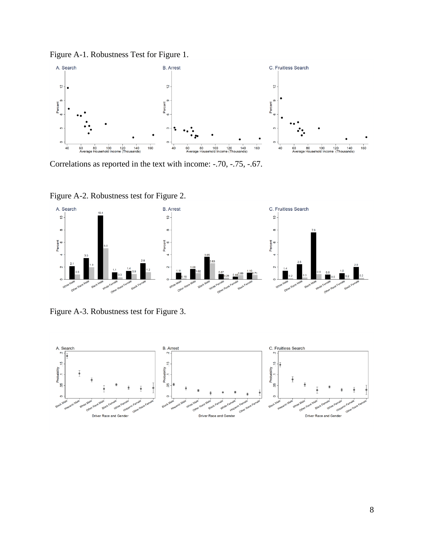Figure A-1. Robustness Test for Figure 1.



Correlations as reported in the text with income: -.70, -.75, -.67.

Figure A-2. Robustness test for Figure 2.



Figure A-3. Robustness test for Figure 3.

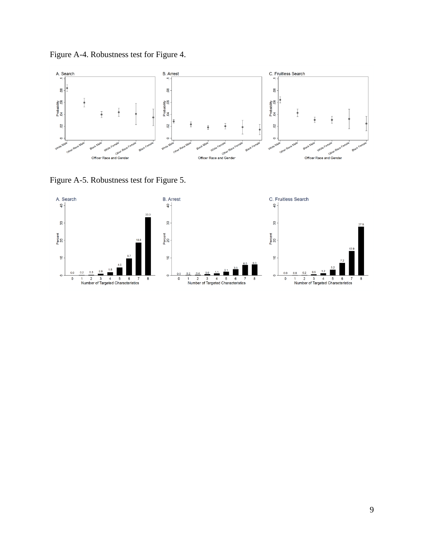Figure A-4. Robustness test for Figure 4.



Figure A-5. Robustness test for Figure 5.

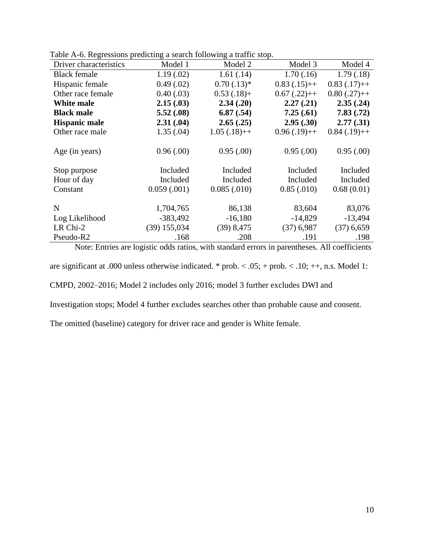| ruote 11 o. Regressions preuteing a search following a traffic stop.<br>Driver characteristics | Model 1        | Model 2       | Model 3       | Model 4       |
|------------------------------------------------------------------------------------------------|----------------|---------------|---------------|---------------|
| <b>Black female</b>                                                                            | 1.19(0.02)     | 1.61(.14)     | 1.70(.16)     | 1.79(0.18)    |
| Hispanic female                                                                                | 0.49(0.02)     | $0.70(.13)*$  | $0.83(.15)++$ | $0.83(.17)++$ |
| Other race female                                                                              | 0.40(0.03)     | $0.53(.18) +$ | $0.67(.22)++$ | $0.80(.27)++$ |
| White male                                                                                     | 2.15(.03)      | 2.34(.20)     | 2.27(.21)     | 2.35(.24)     |
| <b>Black male</b>                                                                              | 5.52(.08)      | 6.87(.54)     | 7.25(.61)     | 7.83(.72)     |
| <b>Hispanic male</b>                                                                           | 2.31(.04)      | 2.65(.25)     | 2.95(.30)     | 2.77(.31)     |
| Other race male                                                                                | 1.35(.04)      | $1.05(.18)++$ | $0.96(.19)++$ | $0.84(.19)++$ |
|                                                                                                |                |               |               |               |
| Age (in years)                                                                                 | 0.96(.00)      | 0.95(.00)     | 0.95(.00)     | 0.95(.00)     |
|                                                                                                |                |               |               |               |
| Stop purpose                                                                                   | Included       | Included      | Included      | Included      |
| Hour of day                                                                                    | Included       | Included      | Included      | Included      |
| Constant                                                                                       | 0.059(0.001)   | 0.085(.010)   | 0.85(.010)    | 0.68(0.01)    |
|                                                                                                |                |               |               |               |
| N                                                                                              | 1,704,765      | 86,138        | 83,604        | 83,076        |
| Log Likelihood                                                                                 | $-383,492$     | $-16,180$     | $-14,829$     | $-13,494$     |
| LR Chi-2                                                                                       | $(39)$ 155,034 | $(39)$ 8,475  | $(37)$ 6,987  | $(37)$ 6,659  |
| Pseudo-R2                                                                                      | .168           | .208          | .191          | .198          |

Table A-6. Regressions predicting a search following a traffic stop.

Note: Entries are logistic odds ratios, with standard errors in parentheses. All coefficients

are significant at .000 unless otherwise indicated. \* prob. < .05; + prob. < .10; ++, n.s. Model 1:

CMPD, 2002–2016; Model 2 includes only 2016; model 3 further excludes DWI and

Investigation stops; Model 4 further excludes searches other than probable cause and consent.

The omitted (baseline) category for driver race and gender is White female.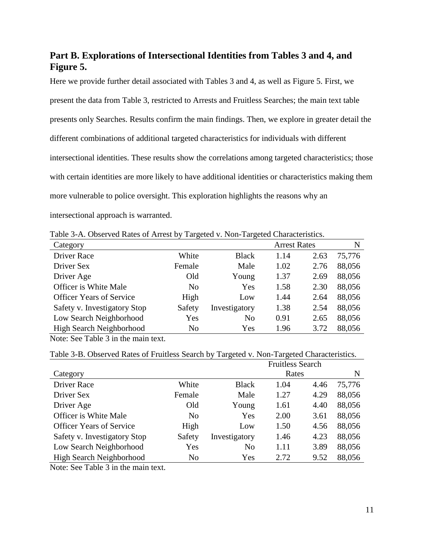# **Part B. Explorations of Intersectional Identities from Tables 3 and 4, and Figure 5.**

Here we provide further detail associated with Tables 3 and 4, as well as Figure 5. First, we present the data from Table 3, restricted to Arrests and Fruitless Searches; the main text table presents only Searches. Results confirm the main findings. Then, we explore in greater detail the different combinations of additional targeted characteristics for individuals with different intersectional identities. These results show the correlations among targeted characteristics; those with certain identities are more likely to have additional identities or characteristics making them more vulnerable to police oversight. This exploration highlights the reasons why an intersectional approach is warranted.

Table 3-A. Observed Rates of Arrest by Targeted v. Non-Targeted Characteristics.

| Category                        |                |               | <b>Arrest Rates</b> |      | N      |
|---------------------------------|----------------|---------------|---------------------|------|--------|
| <b>Driver Race</b>              | White          | <b>Black</b>  | 1.14                | 2.63 | 75,776 |
| Driver Sex                      | Female         | Male          | 1.02                | 2.76 | 88,056 |
| Driver Age                      | Old            | Young         | 1.37                | 2.69 | 88,056 |
| Officer is White Male           | N <sub>0</sub> | Yes           | 1.58                | 2.30 | 88,056 |
| <b>Officer Years of Service</b> | High           | Low           | 1.44                | 2.64 | 88,056 |
| Safety v. Investigatory Stop    | Safety         | Investigatory | 1.38                | 2.54 | 88,056 |
| Low Search Neighborhood         | Yes            | No            | 0.91                | 2.65 | 88,056 |
| High Search Neighborhood        | N <sub>0</sub> | Yes           | 1.96                | 3.72 | 88,056 |

Note: See Table 3 in the main text.

Table 3-B. Observed Rates of Fruitless Search by Targeted v. Non-Targeted Characteristics.

|                                 |                |               | <b>Fruitless Search</b> |      |        |
|---------------------------------|----------------|---------------|-------------------------|------|--------|
| Category                        |                |               | Rates                   |      | N      |
| <b>Driver Race</b>              | White          | <b>Black</b>  | 1.04                    | 4.46 | 75,776 |
| Driver Sex                      | Female         | Male          | 1.27                    | 4.29 | 88,056 |
| Driver Age                      | Old            | Young         | 1.61                    | 4.40 | 88,056 |
| Officer is White Male           | N <sub>0</sub> | Yes           | 2.00                    | 3.61 | 88,056 |
| <b>Officer Years of Service</b> | High           | Low           | 1.50                    | 4.56 | 88,056 |
| Safety v. Investigatory Stop    | Safety         | Investigatory | 1.46                    | 4.23 | 88,056 |
| Low Search Neighborhood         | Yes            | No            | 1.11                    | 3.89 | 88,056 |
| High Search Neighborhood        | N <sub>0</sub> | Yes           | 2.72                    | 9.52 | 88,056 |

Note: See Table 3 in the main text.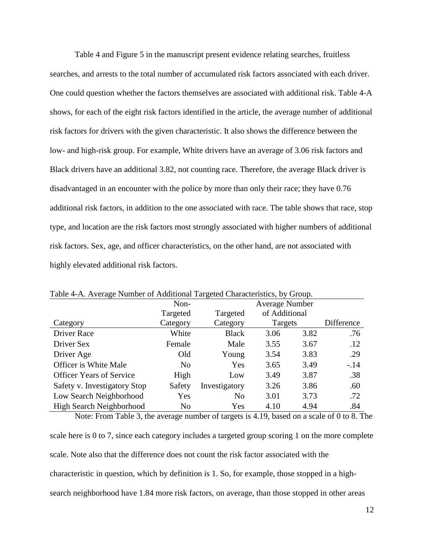Table 4 and Figure 5 in the manuscript present evidence relating searches, fruitless searches, and arrests to the total number of accumulated risk factors associated with each driver. One could question whether the factors themselves are associated with additional risk. Table 4-A shows, for each of the eight risk factors identified in the article, the average number of additional risk factors for drivers with the given characteristic. It also shows the difference between the low- and high-risk group. For example, White drivers have an average of 3.06 risk factors and Black drivers have an additional 3.82, not counting race. Therefore, the average Black driver is disadvantaged in an encounter with the police by more than only their race; they have 0.76 additional risk factors, in addition to the one associated with race. The table shows that race, stop type, and location are the risk factors most strongly associated with higher numbers of additional risk factors. Sex, age, and officer characteristics, on the other hand, are not associated with highly elevated additional risk factors.

| Table 4-A. Average Number of Additional Targeted Characteristics, by Group. |                |                |                       |      |            |
|-----------------------------------------------------------------------------|----------------|----------------|-----------------------|------|------------|
|                                                                             | Non-           |                | <b>Average Number</b> |      |            |
|                                                                             | Targeted       | Targeted       | of Additional         |      |            |
| Category                                                                    | Category       | Category       | Targets               |      | Difference |
| Driver Race                                                                 | White          | <b>Black</b>   | 3.06                  | 3.82 | .76        |
| Driver Sex                                                                  | Female         | Male           | 3.55                  | 3.67 | .12        |
| Driver Age                                                                  | Old            | Young          | 3.54                  | 3.83 | .29        |
| <b>Officer is White Male</b>                                                | N <sub>0</sub> | Yes            | 3.65                  | 3.49 | $-14$      |
| <b>Officer Years of Service</b>                                             | High           | Low            | 3.49                  | 3.87 | .38        |
| Safety v. Investigatory Stop                                                | Safety         | Investigatory  | 3.26                  | 3.86 | .60        |
| Low Search Neighborhood                                                     | Yes            | N <sub>0</sub> | 3.01                  | 3.73 | .72        |
| <b>High Search Neighborhood</b>                                             | N <sub>0</sub> | Yes            | 4.10                  | 4.94 | .84        |

Table 4-A. Average Number of Additional Targeted Characteristics, by Group.

Note: From Table 3, the average number of targets is 4.19, based on a scale of 0 to 8. The scale here is 0 to 7, since each category includes a targeted group scoring 1 on the more complete scale. Note also that the difference does not count the risk factor associated with the characteristic in question, which by definition is 1. So, for example, those stopped in a highsearch neighborhood have 1.84 more risk factors, on average, than those stopped in other areas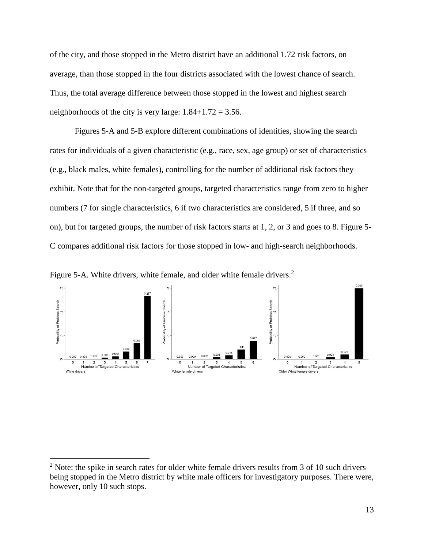of the city, and those stopped in the Metro district have an additional 1.72 risk factors, on average, than those stopped in the four districts associated with the lowest chance of search. Thus, the total average difference between those stopped in the lowest and highest search neighborhoods of the city is very large:  $1.84+1.72 = 3.56$ .

Figures 5-A and 5-B explore different combinations of identities, showing the search rates for individuals of a given characteristic (e.g., race, sex, age group) or set of characteristics (e.g., black males, white females), controlling for the number of additional risk factors they exhibit. Note that for the non-targeted groups, targeted characteristics range from zero to higher numbers (7 for single characteristics, 6 if two characteristics are considered, 5 if three, and so on), but for targeted groups, the number of risk factors starts at 1, 2, or 3 and goes to 8. Figure 5- C compares additional risk factors for those stopped in low- and high-search neighborhoods.

Figure 5-A. White drivers, white female, and older white female drivers.<sup>2</sup>

 $\overline{a}$ 



 $2$  Note: the spike in search rates for older white female drivers results from 3 of 10 such drivers being stopped in the Metro district by white male officers for investigatory purposes. There were, however, only 10 such stops.